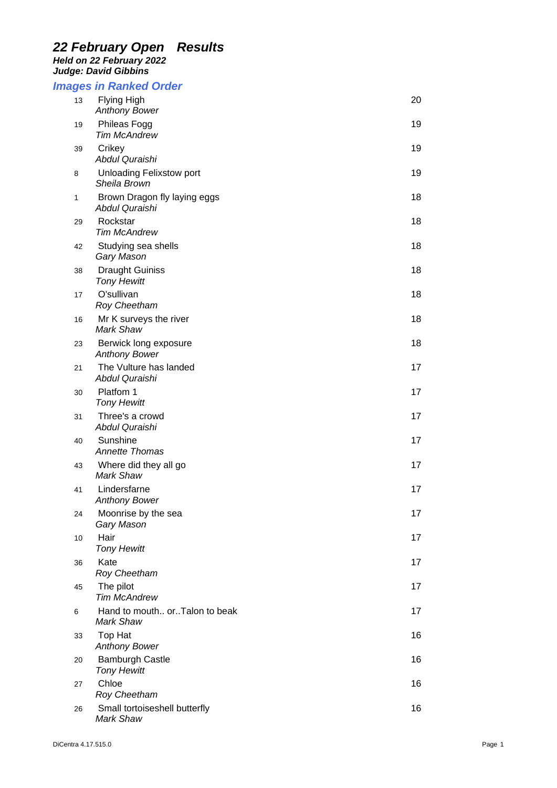## *22 February Open Results Held on 22 February 2022*

*Judge: David Gibbins* 

## *Images in Ranked Order*

| 13 | Flying High<br><b>Anthony Bower</b>             | 20 |
|----|-------------------------------------------------|----|
| 19 | Phileas Fogg<br><b>Tim McAndrew</b>             | 19 |
| 39 | Crikey<br>Abdul Quraishi                        | 19 |
| 8  | <b>Unloading Felixstow port</b><br>Sheila Brown | 19 |
| 1  | Brown Dragon fly laying eggs<br>Abdul Quraishi  | 18 |
| 29 | Rockstar<br><b>Tim McAndrew</b>                 | 18 |
| 42 | Studying sea shells<br>Gary Mason               | 18 |
| 38 | <b>Draught Guiniss</b><br><b>Tony Hewitt</b>    | 18 |
| 17 | O'sullivan<br><b>Roy Cheetham</b>               | 18 |
| 16 | Mr K surveys the river<br>Mark Shaw             | 18 |
| 23 | Berwick long exposure<br><b>Anthony Bower</b>   | 18 |
| 21 | The Vulture has landed<br>Abdul Quraishi        | 17 |
| 30 | Platfom 1<br><b>Tony Hewitt</b>                 | 17 |
| 31 | Three's a crowd<br>Abdul Quraishi               | 17 |
| 40 | Sunshine<br><b>Annette Thomas</b>               | 17 |
| 43 | Where did they all go<br><b>Mark Shaw</b>       | 17 |
| 41 | Lindersfarne<br><b>Anthony Bower</b>            | 17 |
| 24 | Moonrise by the sea<br>Gary Mason               | 17 |
| 10 | Hair<br><b>Tony Hewitt</b>                      | 17 |
| 36 | Kate<br>Roy Cheetham                            | 17 |
| 45 | The pilot<br><b>Tim McAndrew</b>                | 17 |
| 6  | Hand to mouth orTalon to beak<br>Mark Shaw      | 17 |
| 33 | Top Hat<br><b>Anthony Bower</b>                 | 16 |
| 20 | <b>Bamburgh Castle</b><br><b>Tony Hewitt</b>    | 16 |
| 27 | Chloe<br>Roy Cheetham                           | 16 |
| 26 | Small tortoiseshell butterfly<br>Mark Shaw      | 16 |
|    |                                                 |    |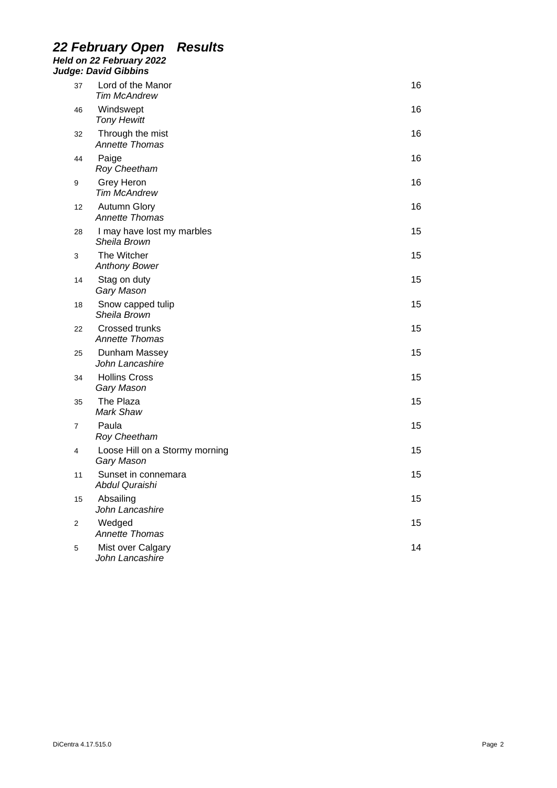### *22 February Open Results Held on 22 February 2022 Judge: David Gibbins*

|    | ye <i>. Daviu Gibbiris</i>                     |    |
|----|------------------------------------------------|----|
| 37 | Lord of the Manor<br><b>Tim McAndrew</b>       | 16 |
| 46 | Windswept<br><b>Tony Hewitt</b>                | 16 |
| 32 | Through the mist<br>Annette Thomas             | 16 |
| 44 | Paige<br>Roy Cheetham                          | 16 |
| 9  | Grey Heron<br><b>Tim McAndrew</b>              | 16 |
| 12 | <b>Autumn Glory</b><br><b>Annette Thomas</b>   | 16 |
| 28 | I may have lost my marbles<br>Sheila Brown     | 15 |
| 3  | The Witcher<br><b>Anthony Bower</b>            | 15 |
| 14 | Stag on duty<br>Gary Mason                     | 15 |
| 18 | Snow capped tulip<br>Sheila Brown              | 15 |
| 22 | <b>Crossed trunks</b><br><b>Annette Thomas</b> | 15 |
| 25 | Dunham Massey<br>John Lancashire               | 15 |
| 34 | <b>Hollins Cross</b><br>Gary Mason             | 15 |
| 35 | The Plaza<br>Mark Shaw                         | 15 |
| 7  | Paula<br>Roy Cheetham                          | 15 |
| 4  | Loose Hill on a Stormy morning<br>Gary Mason   | 15 |
| 11 | Sunset in connemara<br>Abdul Quraishi          | 15 |
| 15 | Absailing<br>John Lancashire                   | 15 |
| 2  | Wedged<br><b>Annette Thomas</b>                | 15 |
| 5  | Mist over Calgary<br>John Lancashire           | 14 |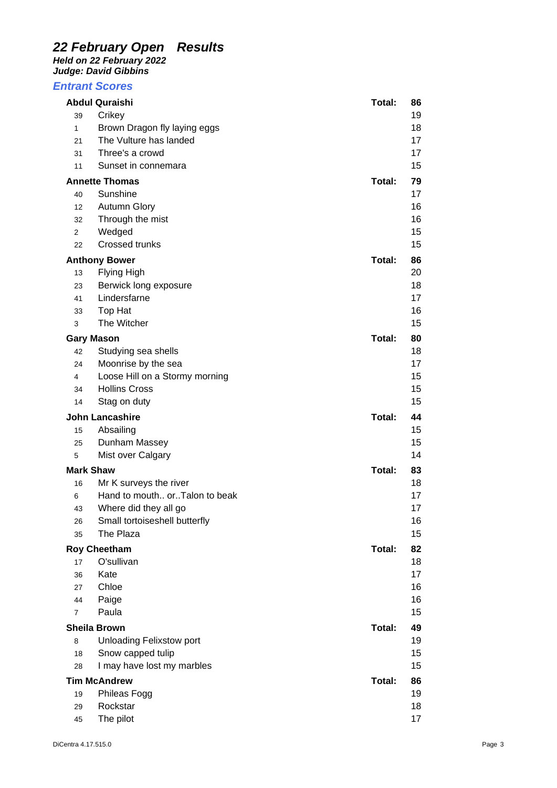# *22 February Open Results*

*Held on 22 February 2022 Judge: David Gibbins* 

### *Entrant Scores*

|                       | <b>Abdul Quraishi</b>           | Total: | 86 |
|-----------------------|---------------------------------|--------|----|
| 39                    | Crikey                          |        | 19 |
| $\mathbf{1}$          | Brown Dragon fly laying eggs    |        | 18 |
| 21                    | The Vulture has landed          |        | 17 |
| 31                    | Three's a crowd                 |        | 17 |
| 11                    | Sunset in connemara             |        | 15 |
| <b>Annette Thomas</b> |                                 | Total: | 79 |
| 40                    | Sunshine                        |        | 17 |
| 12                    | <b>Autumn Glory</b>             |        | 16 |
| 32                    | Through the mist                |        | 16 |
| 2                     | Wedged                          |        | 15 |
| 22                    | Crossed trunks                  |        | 15 |
| <b>Anthony Bower</b>  |                                 | Total: | 86 |
| 13                    | Flying High                     |        | 20 |
| 23                    | Berwick long exposure           |        | 18 |
| 41                    | Lindersfarne                    |        | 17 |
| 33                    | Top Hat                         |        | 16 |
| 3                     | The Witcher                     |        | 15 |
|                       | <b>Gary Mason</b>               | Total: | 80 |
| 42                    | Studying sea shells             |        | 18 |
| 24                    | Moonrise by the sea             |        | 17 |
| 4                     | Loose Hill on a Stormy morning  |        | 15 |
| 34                    | <b>Hollins Cross</b>            |        | 15 |
| 14                    | Stag on duty                    |        | 15 |
|                       | <b>John Lancashire</b>          | Total: | 44 |
| 15                    | Absailing                       |        | 15 |
| 25                    | Dunham Massey                   |        | 15 |
| 5                     | Mist over Calgary               |        | 14 |
| <b>Mark Shaw</b>      |                                 | Total: | 83 |
| 16                    | Mr K surveys the river          |        | 18 |
| 6                     | Hand to mouth orTalon to beak   |        | 17 |
| 43                    | Where did they all go           |        | 17 |
| 26                    | Small tortoiseshell butterfly   |        | 16 |
| 35                    | The Plaza                       |        | 15 |
|                       | <b>Roy Cheetham</b>             | Total: | 82 |
| 17                    | O'sullivan                      |        | 18 |
| 36                    | Kate                            |        | 17 |
| 27                    | Chloe                           |        | 16 |
| 44                    | Paige                           |        | 16 |
| 7                     | Paula                           |        | 15 |
|                       | <b>Sheila Brown</b>             | Total: | 49 |
| 8                     | <b>Unloading Felixstow port</b> |        | 19 |
| 18                    | Snow capped tulip               |        | 15 |
| 28                    | I may have lost my marbles      |        | 15 |
|                       | <b>Tim McAndrew</b>             | Total: | 86 |
| 19                    | Phileas Fogg                    |        | 19 |
| 29                    | Rockstar                        |        | 18 |
| 45                    | The pilot                       |        | 17 |
|                       |                                 |        |    |